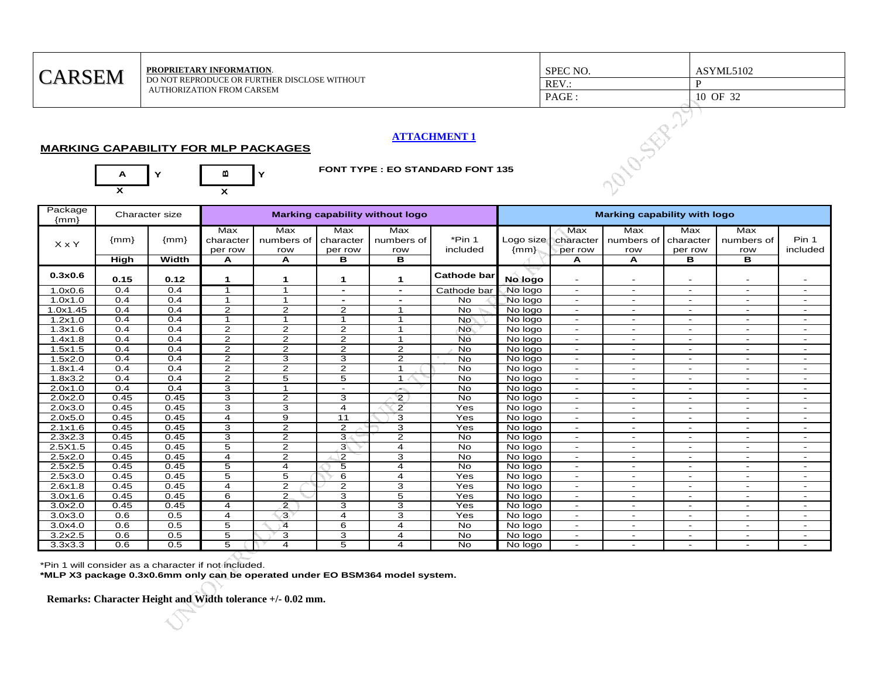| <b>CARSEM</b>     | PROPRIETARY INFORMATION.<br>DO NOT REPRODUCE OR FURTHER DISCLOSE WITHOUT<br><b>AUTHORIZATION FROM CARSEM</b>     | SPEC NO.<br>$REV$ .:<br>PAGE : | ASYML5102<br>10 OF 32 |
|-------------------|------------------------------------------------------------------------------------------------------------------|--------------------------------|-----------------------|
| A<br>$\checkmark$ | <b>ATTACHMENT 1</b><br><b>MARKING CAPABILITY FOR MLP PACKAGES</b><br><b>FONT TYPE: EO STANDARD FONT 135</b><br>m |                                |                       |

## **ATTACHMENT 1**

## **MARKING CAPABILITY FOR MLP PACKAGES**



## **FONT TYPE : EO STANDARD FONT 135**

| Package<br>${mm}$    |        | Character size |                             | Marking capability without logo |                             |                          |                    |                     | <b>Marking capability with logo</b> |                          |                             |                              |                          |  |
|----------------------|--------|----------------|-----------------------------|---------------------------------|-----------------------------|--------------------------|--------------------|---------------------|-------------------------------------|--------------------------|-----------------------------|------------------------------|--------------------------|--|
| X x Y                | ${mm}$ | ${mm}$         | Max<br>character<br>per row | Max<br>numbers of<br>row        | Max<br>character<br>per row | Max<br>numbers of<br>row | *Pin 1<br>included | Logo size<br>${mm}$ | Max<br>character<br>per row         | Max<br>numbers of<br>row | Max<br>character<br>per row | Max<br>numbers of<br>row     | Pin 1<br>included        |  |
|                      | High   | Width          | А                           | A                               | в                           | в                        |                    |                     | А                                   | A                        | в                           | в                            |                          |  |
| 0.3x0.6              | 0.15   | 0.12           | 1                           | 1                               | $\mathbf 1$                 | 1                        | <b>Cathode bar</b> | No logo             |                                     |                          |                             |                              |                          |  |
| 1.0x0.6              | 0.4    | 0.4            | -4                          | $\overline{1}$                  | ۰.                          | $\blacksquare$           | Cathode bar        | No logo             | $\overline{\phantom{a}}$            | $\overline{\phantom{a}}$ | $\overline{\phantom{a}}$    | $\blacksquare$               | $\sim$                   |  |
| 1.0x1.0              | 0.4    | 0.4            | 1                           | $\mathbf{1}$                    | -                           |                          | <b>No</b>          | No logo             |                                     | ۰                        |                             | ۰                            |                          |  |
| 1.0x1.45             | 0.4    | 0.4            | $\mathbf{2}$                | $\mathbf{2}$                    | $\overline{2}$              | 1                        | No.                | No logo             | $\overline{\phantom{a}}$            | $\overline{\phantom{a}}$ | $\overline{\phantom{a}}$    | $\overline{\phantom{a}}$     |                          |  |
| 1.2x1.0              | 0.4    | 0.4            | $\mathbf 1$                 | $\mathbf{1}$                    | 1                           | $\mathbf 1$              | No <sup>®</sup>    | No logo             | $\overline{\phantom{a}}$            | $\overline{\phantom{a}}$ | $\overline{\phantom{a}}$    | $\overline{\phantom{a}}$     | $\overline{\phantom{a}}$ |  |
| 1.3x1.6              | 0.4    | 0.4            | $\mathbf{2}$                | 2                               | $\overline{2}$              | 1                        | No.                | No logo             | $\sim$                              | $\blacksquare$           | $\overline{\phantom{a}}$    | ٠                            | $\overline{\phantom{a}}$ |  |
| 1.4x1.8              | 0.4    | 0.4            | $\overline{2}$              | 2                               | $\overline{2}$              | $\mathbf{1}$             | <b>No</b>          | No logo             | $\sim$                              | $\blacksquare$           | $\overline{\phantom{a}}$    | $\blacksquare$               | $\overline{\phantom{a}}$ |  |
| 1.5x1.5              | 0.4    | 0.4            | 2                           | 2                               | $\overline{2}$              | 2                        | <b>No</b>          | No logo             | $\overline{\phantom{a}}$            | $\blacksquare$           |                             | ٠                            |                          |  |
| 1.5x2.0              | 0.4    | 0.4            | $\overline{2}$              | 3                               | 3                           | $\overline{2}$           | <b>No</b>          | No logo             | $\sim$                              | $\overline{\phantom{0}}$ | $\overline{\phantom{a}}$    | $\equiv$                     |                          |  |
| 1.8x1.4              | 0.4    | 0.4            | $\overline{2}$              | $\overline{2}$                  | $\overline{2}$              | $\mathbf{1}$             | <b>No</b>          | No logo             |                                     | $\overline{\phantom{0}}$ | $\overline{\phantom{a}}$    | -                            | $\overline{\phantom{a}}$ |  |
| 1.8x3.2              | 0.4    | 0.4            | $\overline{2}$              | 5                               | 5                           | $\mathbf 1$              | <b>No</b>          | No logo             | $\overline{\phantom{a}}$            | $\overline{\phantom{a}}$ | $\overline{\phantom{a}}$    | ٠                            | $\overline{\phantom{0}}$ |  |
| 2.0x1.0              | 0.4    | 0.4            | 3                           | $\overline{1}$                  | $\overline{\phantom{a}}$    | والتصر                   | <b>No</b>          | No logo             | $\overline{\phantom{a}}$            | $\overline{\phantom{a}}$ | $\overline{\phantom{a}}$    | $\overline{\phantom{a}}$     | $\overline{\phantom{a}}$ |  |
| 2.0x2.0              | 0.45   | 0.45           | 3                           | $\mathbf{2}$                    | 3                           | $\mathbf{2}$             | <b>No</b>          | No logo             | $\sim$                              | $\overline{\phantom{0}}$ | $\blacksquare$              | $\overline{\phantom{a}}$     | $\overline{\phantom{a}}$ |  |
| 2.0x3.0              | 0.45   | 0.45           | 3                           | 3                               | $\overline{4}$              | $\overline{2}$           | Yes                | No logo             | $\overline{\phantom{a}}$            | $\overline{\phantom{a}}$ | $\overline{\phantom{a}}$    | $\overline{\phantom{a}}$     | $\overline{\phantom{a}}$ |  |
| 2.0x5.0              | 0.45   | 0.45           | 4                           | 9                               | 11                          | 3                        | Yes                | No logo             | $\overline{\phantom{0}}$            | $\overline{\phantom{0}}$ | $\overline{\phantom{a}}$    | ۰                            | $\overline{\phantom{a}}$ |  |
| 2.1x1.6              | 0.45   | 0.45           | 3                           | $\overline{2}$                  | $\overline{2}$              | 3                        | Yes                | No logo             | $\sim$                              | $\overline{\phantom{a}}$ | $\blacksquare$              | ٠                            | $\overline{\phantom{a}}$ |  |
| $2.3x2.\overline{3}$ | 0.45   | 0.45           | 3                           | $\mathbf{2}$                    | 3                           | 2                        | No                 | No logo             | $\sim$                              | $\blacksquare$           | $\overline{\phantom{a}}$    | ٠                            | $\overline{\phantom{a}}$ |  |
| 2.5X1.5              | 0.45   | 0.45           | 5                           | $\mathbf{2}$                    | $3\sqrt{ }$                 | 4                        | <b>No</b>          | No logo             | $\sim$                              | $\overline{\phantom{0}}$ | $\overline{\phantom{a}}$    | ۰                            | $\overline{\phantom{a}}$ |  |
| 2.5x2.0              | 0.45   | 0.45           | 4                           | $\overline{2}$                  | $\overline{2}$              | 3                        | <b>No</b>          | No logo             | $\overline{\phantom{a}}$            | $\overline{\phantom{0}}$ | $\overline{\phantom{a}}$    | $\overline{\phantom{a}}$     | $\overline{\phantom{a}}$ |  |
| 2.5x2.5              | 0.45   | 0.45           | $\overline{5}$              | $\overline{4}$                  | 5                           | $\overline{4}$           | <b>No</b>          | No logo             |                                     | $\overline{\phantom{0}}$ |                             | ٠                            | $\overline{\phantom{0}}$ |  |
| 2.5x3.0              | 0.45   | 0.45           | 5                           | 5                               | 6                           | 4                        | Yes                | No logo             |                                     | $\overline{\phantom{0}}$ |                             | ٠                            |                          |  |
| 2.6x1.8              | 0.45   | 0.45           | 4                           | $\mathbf{2}$                    | $\mathbf{2}$                | 3                        | Yes                | No logo             |                                     | $\overline{\phantom{a}}$ | ٠                           | $\qquad \qquad \blacksquare$ |                          |  |
| 3.0x1.6              | 0.45   | 0.45           | 6                           | 2                               | 3                           | 5                        | Yes                | No logo             | $\overline{\phantom{a}}$            | $\overline{\phantom{0}}$ | $\overline{\phantom{a}}$    | $\overline{\phantom{a}}$     | $\overline{\phantom{a}}$ |  |
| 3.0x2.0              | 0.45   | 0.45           | 4                           | 2                               | 3                           | 3                        | Yes                | No logo             | $\overline{\phantom{a}}$            | $\overline{\phantom{a}}$ | $\overline{\phantom{a}}$    | ۰                            | $\overline{\phantom{a}}$ |  |
| 3.0x3.0              | 0.6    | 0.5            | 4                           | க                               | $\overline{4}$              | 3                        | Yes                | No logo             | $\sim$                              | $\blacksquare$           | $\blacksquare$              | $\blacksquare$               | $\overline{\phantom{a}}$ |  |
| 3.0x4.0              | 0.6    | 0.5            | 5                           | $\overline{4}$                  | 6                           | 4                        | <b>No</b>          | No logo             | $\sim$                              | $\overline{\phantom{0}}$ | $\overline{\phantom{a}}$    | ٠                            | $\overline{\phantom{a}}$ |  |
| 3.2x2.5              | 0.6    | 0.5            | 5                           | 3                               | 3                           | 4                        | <b>No</b>          | No logo             | $\sim$                              | $\blacksquare$           | $\overline{\phantom{a}}$    | ٠                            | $\overline{\phantom{a}}$ |  |
| 3.3x3.3              | 0.6    | 0.5            | 5                           | $\overline{4}$                  | 5                           | 4                        | $\overline{N}$     | No logo             |                                     | $\overline{\phantom{a}}$ |                             | ۰                            |                          |  |

\*Pin 1 will consider as a character if not included.

**\*MLP X3 package 0.3x0.6mm only can be operated under EO BSM364 model system.**

**Remarks: Character Height and Width tolerance +/- 0.02 mm.**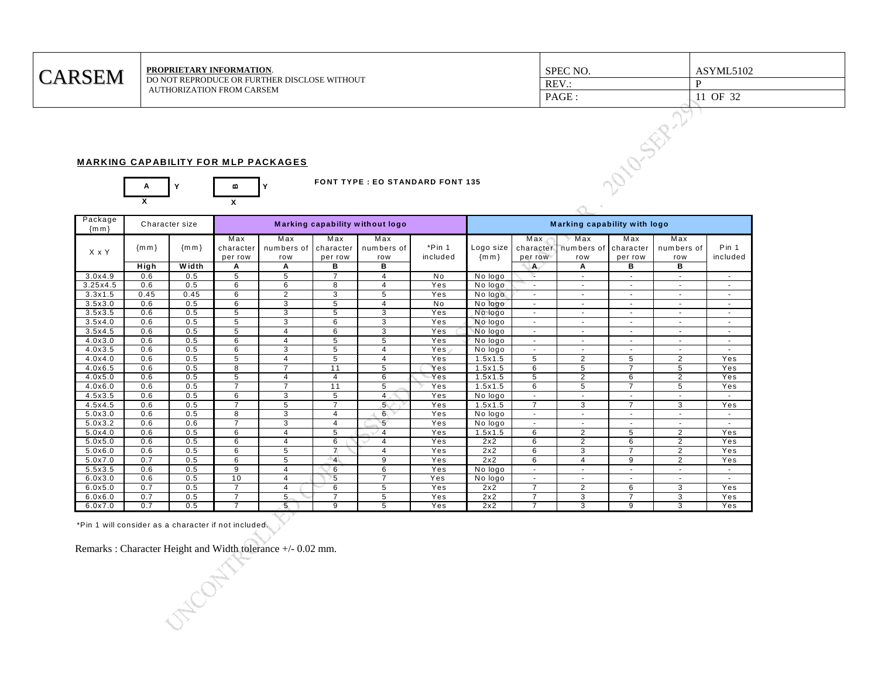| <b>RSEM</b><br>$\bigcap \Delta$ | <b>PROPRIETARY INFORMATION.</b>                                           | SPEC NO. | ASYML5102 |
|---------------------------------|---------------------------------------------------------------------------|----------|-----------|
|                                 | DO NOT REPRODUCE OR FURTHER DISCLOSE WITHOUT<br>AUTHORIZATION FROM CARSEM | REV.:    |           |
|                                 |                                                                           | PAGE     | OF 32     |
|                                 |                                                                           |          |           |

## **MARKING CAPABILITY FOR MLP PACKAGES**



|                    |             |                |                                  | <b>MARKING CAPABILITY FOR MLP PACKAGES</b> |                             |                                 |                                        |                              |                                  |                          | 2010-SER-27                 |                          |                          |
|--------------------|-------------|----------------|----------------------------------|--------------------------------------------|-----------------------------|---------------------------------|----------------------------------------|------------------------------|----------------------------------|--------------------------|-----------------------------|--------------------------|--------------------------|
|                    | A           | Y              | m                                | Y                                          |                             |                                 | <b>FONT TYPE: EO STANDARD FONT 135</b> |                              |                                  |                          |                             |                          |                          |
|                    | X           |                | X                                |                                            |                             |                                 |                                        |                              |                                  |                          |                             |                          |                          |
| Package<br>${m m}$ |             | Character size |                                  |                                            |                             | Marking capability without logo |                                        | Marking capability with logo |                                  |                          |                             |                          |                          |
| X x Y              | ${m m}$     | ${m m}$        | Max<br>character<br>per row      | Max<br>numbers of<br>row                   | Max<br>character<br>per row | Max<br>numbers of<br>row        | $*Pin 1$<br>included                   | Logo size<br>${m m}$         | Max<br>character<br>per row      | Max<br>numbers of<br>row | Max<br>character<br>per row | Max<br>numbers of<br>row | Pin 1<br>included        |
|                    | <b>High</b> | Width          | Α                                | Α                                          | в                           | в                               |                                        |                              | A                                | Α                        | в                           | в                        |                          |
| 3.0x4.9            | 0.6         | 0.5            | 5                                | 5                                          | $\overline{7}$              | 4                               | No.                                    | No logo                      | x                                | $\sim$                   | $\overline{\phantom{a}}$    | $\sim$                   | $\sim$                   |
| 3.25x4.5           | 0.6         | 0.5            | 6                                | 6                                          | 8                           | $\overline{4}$                  | Yes                                    | No logo                      | $\sim$                           | $\sim$                   | ÷.                          |                          | $\sim$                   |
| $3.3 \times 1.5$   | 0.45        | 0.45           | 6                                | $\overline{2}$                             | 3                           | 5                               | Yes                                    | No logo                      | ÷.                               |                          |                             |                          | $\sim$                   |
| 3.5x3.0            | 0.6         | 0.5            | 6                                | 3                                          | 5                           | $\overline{4}$                  | <b>No</b>                              | No logo                      | $\sim$                           | $\sim$                   | $\sim$                      | $\sim$                   | $\sim$                   |
| 3.5x3.5            | 0.6         | 0.5            | 5                                | 3                                          | 5                           | 3                               | Yes                                    | No logo                      | $\blacksquare$                   | $\blacksquare$           | ٠                           | $\overline{\phantom{a}}$ | $\overline{\phantom{a}}$ |
| 3.5x4.0            | 0.6         | 0.5            | 5                                | 3                                          | 6                           | 3                               | Yes                                    | No logo                      | $\sim$                           | $\sim$                   | $\overline{\phantom{a}}$    | $\sim$                   | $\overline{\phantom{a}}$ |
| 3.5x4.5            | 0.6         | 0.5            | 5                                | $\overline{4}$                             | 6                           | 3                               | Yes                                    | No logo                      | $\omega$                         | $\sim$                   | $\sim$                      | $\sim$                   | $\sim$                   |
| 4.0x3.0            | 0.6         | 0.5            | 6                                | 4                                          | 5                           | 5                               | Yes                                    | No logo                      | $\overline{\phantom{a}}$         | $\sim$                   | $\overline{\phantom{a}}$    | $\sim$                   | $\overline{\phantom{a}}$ |
| 4.0x3.5            | 0.6         | 0.5            | 6                                | 3                                          | $\overline{5}$              | $\overline{4}$                  | Yes                                    | No logo                      | $\sim$                           | $\sim$                   | ×                           | $\sim$                   | $\sim$                   |
| 4.0x4.0            | 0.6         | 0.5            | 5                                | $\overline{4}$                             | 5                           | $\overline{4}$                  | Yes                                    | 1.5x1.5                      | $\overline{5}$                   | $\overline{2}$           | 5                           | $\overline{2}$           | Yes                      |
| 4.0x6.5            | 0.6         | 0.5            | 8                                | $\overline{7}$                             | $\overline{11}$             | 5                               | Yes                                    | 1.5x1.5                      | 6                                | 5                        | $\overline{7}$              | 5                        | Yes                      |
| 4.0x5.0            | 0.6         | 0.5            | 5                                | $\overline{4}$                             | $\overline{4}$              | 6                               | Yes                                    | 1.5x1.5                      | 5                                | $\overline{2}$           | 6                           | $\overline{2}$           | Yes                      |
| 4.0x6.0            | 0.6         | 0.5            | $\overline{7}$                   | $\overline{7}$                             | $\overline{11}$             | 5                               | Yes                                    | 1.5x1.5                      | 6                                | 5                        | $\overline{7}$              | 5                        | Yes                      |
| 4.5x3.5            | 0.6         | 0.5            | 6                                | 3                                          | 5                           | $\overline{4}$                  | Yes                                    | No logo                      | $\omega$                         | $\sim$                   | $\sim$                      | $\sim$                   | $\sim$                   |
| 4.5x4.5            | 0.6         | 0.5            | $\overline{7}$                   | 5                                          | $\overline{7}$              | $5^{\circ}$                     | Yes                                    | 1.5x1.5                      | $\overline{7}$                   | 3                        | $\overline{7}$              | 3                        | Yes                      |
| 5.0x3.0            | 0.6         | 0.5            | 8                                | 3                                          | $\overline{4}$              | 6 <sub>1</sub>                  | Yes                                    | No logo                      | $\sim$                           | $\sim$                   | $\overline{\phantom{a}}$    | $\overline{\phantom{a}}$ | $\overline{\phantom{a}}$ |
| 5.0x3.2            | 0.6         | 0.6            | $\overline{7}$                   | 3                                          | 4                           | 5 <sup>′</sup>                  | Yes                                    | No logo                      | $\omega$                         | $\mathbf{r}$             | $\sim$                      | $\sim$                   | ÷.                       |
| 5.0x4.0            | 0.6         | 0.5            | 6                                | 4                                          | 5                           | 4                               | Yes                                    | 1.5x1.5                      | 6                                | 2                        | 5                           | $\overline{2}$           | Yes                      |
| 5.0x5.0            | 0.6         | 0.5            | $6\overline{6}$                  | $\overline{4}$                             | 6                           | $\overline{4}$                  | Yes                                    | 2x2                          | 6                                | $\overline{2}$           | 6                           | $\overline{2}$           | Yes                      |
| 5.0x6.0            | 0.6         | 0.5            | 6                                | 5                                          | $\overline{7}$              | $\overline{4}$                  | Yes                                    | 2x2                          | 6                                | 3                        | $\overline{7}$              | $\overline{2}$           | Yes                      |
| 5.0x7.0            | 0.7         | 0.5            | 6                                | 5                                          | $\overline{4}$              | $\overline{9}$                  | Yes                                    | 2x2                          | 6                                | $\overline{4}$           | 9                           | $\overline{2}$           | Yes                      |
| 5.5x3.5            | 0.6         | 0.5            | 9                                | $\overline{4}$                             | 6                           | 6<br>$\overline{7}$             | Yes                                    | No logo                      | $\sim$                           | $\sim$                   | $\blacksquare$              | $\sim$                   | $\sim$                   |
| 6.0x3.0            | 0.6         | 0.5            | 10                               | $\overline{4}$                             | $\overline{5}$              |                                 | Yes                                    | No logo                      | $\blacksquare$                   |                          |                             |                          | ÷.                       |
| 6.0x5.0            | 0.7         | 0.5            | $\overline{7}$                   | 4                                          | 6<br>$\overline{7}$         | 5                               | Yes                                    | 2x2                          | $\overline{7}$                   | $\overline{2}$           | 6<br>$\overline{7}$         | 3                        | Yes                      |
| 6.0x6.0            | 0.7<br>0.7  | 0.5<br>0.5     | $\overline{7}$<br>$\overline{7}$ | 5                                          | 9                           | 5                               | Yes<br>Yes                             | 2x2<br>2x2                   | $\overline{7}$<br>$\overline{7}$ | 3<br>$\overline{3}$      | 9                           | 3                        | Yes<br>Yes               |
| 6.0x7.0            |             |                |                                  | 5                                          |                             | 5                               |                                        |                              |                                  |                          |                             | 3                        |                          |

\*Pin 1 will consider as a character if not included.

Remarks : Character Height and Width tolerance +/- 0.02 mm.